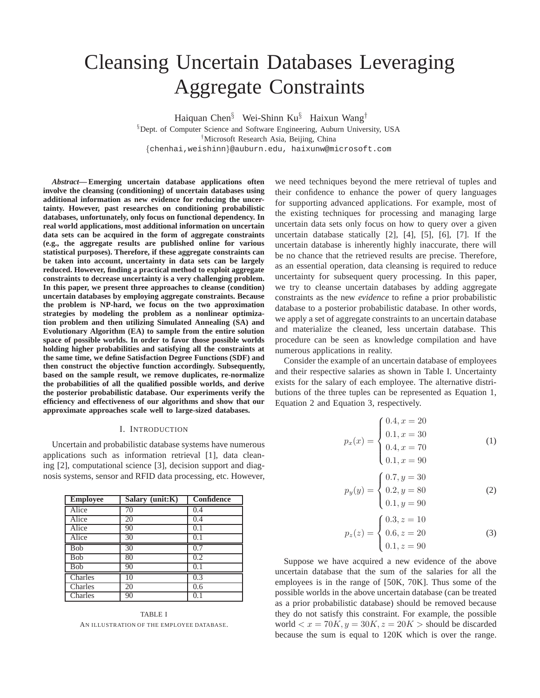# Cleansing Uncertain Databases Leveraging Aggregate Constraints

Haiquan Chen§ Wei-Shinn Ku§ Haixun Wang† §Dept. of Computer Science and Software Engineering, Auburn University, USA †Microsoft Research Asia, Beijing, China {chenhai,weishinn}@auburn.edu, haixunw@microsoft.com

*Abstract***— Emerging uncertain database applications often involve the cleansing (conditioning) of uncertain databases using additional information as new evidence for reducing the uncertainty. However, past researches on conditioning probabilistic databases, unfortunately, only focus on functional dependency. In real world applications, most additional information on uncertain data sets can be acquired in the form of aggregate constraints (e.g., the aggregate results are published online for various statistical purposes). Therefore, if these aggregate constraints can be taken into account, uncertainty in data sets can be largely reduced. However, finding a practical method to exploit aggregate constraints to decrease uncertainty is a very challenging problem. In this paper, we present three approaches to cleanse (condition) uncertain databases by employing aggregate constraints. Because the problem is NP-hard, we focus on the two approximation strategies by modeling the problem as a nonlinear optimization problem and then utilizing Simulated Annealing (SA) and Evolutionary Algorithm (EA) to sample from the entire solution space of possible worlds. In order to favor those possible worlds holding higher probabilities and satisfying all the constraints at the same time, we define Satisfaction Degree Functions (SDF) and then construct the objective function accordingly. Subsequently, based on the sample result, we remove duplicates, re-normalize the probabilities of all the qualified possible worlds, and derive the posterior probabilistic database. Our experiments verify the efficiency and effectiveness of our algorithms and show that our approximate approaches scale well to large-sized databases.**

#### I. INTRODUCTION

Uncertain and probabilistic database systems have numerous applications such as information retrieval [1], data cleaning [2], computational science [3], decision support and diagnosis systems, sensor and RFID data processing, etc. However,

| <b>Employee</b> | Salary (unit:K) | <b>Confidence</b> |
|-----------------|-----------------|-------------------|
| Alice           | 70              | 0.4               |
| Alice           | 20              | $\overline{0.4}$  |
| Alice           | 90              | 0.1               |
| Alice           | 30              | 0.1               |
| <b>Bob</b>      | 30              | 0.7               |
| Bob             | 80              | 0.2               |
| Bob             | 90              | 0.1               |
| Charles         | 10              | 0.3               |
| Charles         | 20              | 0.6               |
| Charles         | 90              | 0.1               |

TABLE I AN ILLUSTRATION OF THE EMPLOYEE DATABASE.

we need techniques beyond the mere retrieval of tuples and their confidence to enhance the power of query languages for supporting advanced applications. For example, most of the existing techniques for processing and managing large uncertain data sets only focus on how to query over a given uncertain database statically [2], [4], [5], [6], [7]. If the uncertain database is inherently highly inaccurate, there will be no chance that the retrieved results are precise. Therefore, as an essential operation, data cleansing is required to reduce uncertainty for subsequent query processing. In this paper, we try to cleanse uncertain databases by adding aggregate constraints as the new *evidence* to refine a prior probabilistic database to a posterior probabilistic database. In other words, we apply a set of aggregate constraints to an uncertain database and materialize the cleaned, less uncertain database. This procedure can be seen as knowledge compilation and have numerous applications in reality.

Consider the example of an uncertain database of employees and their respective salaries as shown in Table I. Uncertainty exists for the salary of each employee. The alternative distributions of the three tuples can be represented as Equation 1, Equation 2 and Equation 3, respectively.

$$
p_x(x) = \begin{cases} 0.4, x = 20 \\ 0.1, x = 30 \\ 0.4, x = 70 \\ 0.1, x = 90 \end{cases}
$$
 (1)

$$
p_y(y) = \begin{cases} 0.7, y = 30 \\ 0.2, y = 80 \\ 0.1, y = 90 \end{cases}
$$
 (2)

$$
p_z(z) = \begin{cases} 0.3, z = 10\\ 0.6, z = 20\\ 0.1, z = 90 \end{cases}
$$
 (3)

Suppose we have acquired a new evidence of the above uncertain database that the sum of the salaries for all the employees is in the range of [50K, 70K]. Thus some of the possible worlds in the above uncertain database (can be treated as a prior probabilistic database) should be removed because they do not satisfy this constraint. For example, the possible world  $\langle x = 70K, y = 30K, z = 20K \rangle$  should be discarded because the sum is equal to 120K which is over the range.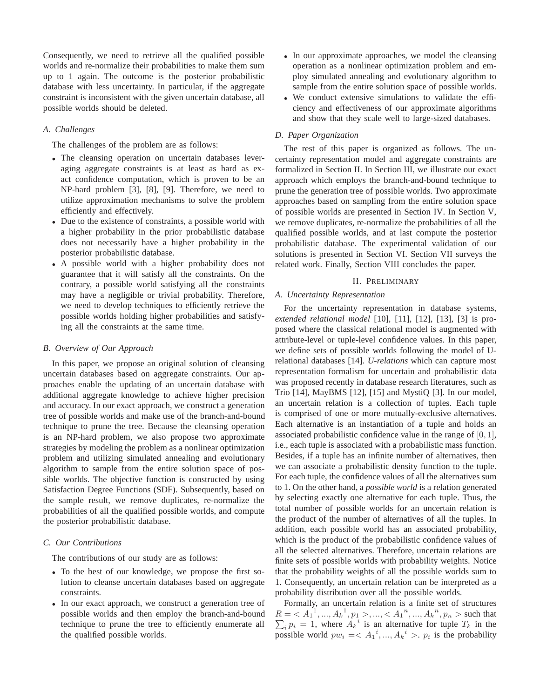Consequently, we need to retrieve all the qualified possible worlds and re-normalize their probabilities to make them sum up to 1 again. The outcome is the posterior probabilistic database with less uncertainty. In particular, if the aggregate constraint is inconsistent with the given uncertain database, all possible worlds should be deleted.

# *A. Challenges*

The challenges of the problem are as follows:

- The cleansing operation on uncertain databases leveraging aggregate constraints is at least as hard as exact confidence computation, which is proven to be an NP-hard problem [3], [8], [9]. Therefore, we need to utilize approximation mechanisms to solve the problem efficiently and effectively.
- Due to the existence of constraints, a possible world with a higher probability in the prior probabilistic database does not necessarily have a higher probability in the posterior probabilistic database.
- A possible world with a higher probability does not guarantee that it will satisfy all the constraints. On the contrary, a possible world satisfying all the constraints may have a negligible or trivial probability. Therefore, we need to develop techniques to efficiently retrieve the possible worlds holding higher probabilities and satisfying all the constraints at the same time.

# *B. Overview of Our Approach*

In this paper, we propose an original solution of cleansing uncertain databases based on aggregate constraints. Our approaches enable the updating of an uncertain database with additional aggregate knowledge to achieve higher precision and accuracy. In our exact approach, we construct a generation tree of possible worlds and make use of the branch-and-bound technique to prune the tree. Because the cleansing operation is an NP-hard problem, we also propose two approximate strategies by modeling the problem as a nonlinear optimization problem and utilizing simulated annealing and evolutionary algorithm to sample from the entire solution space of possible worlds. The objective function is constructed by using Satisfaction Degree Functions (SDF). Subsequently, based on the sample result, we remove duplicates, re-normalize the probabilities of all the qualified possible worlds, and compute the posterior probabilistic database.

# *C. Our Contributions*

The contributions of our study are as follows:

- To the best of our knowledge, we propose the first solution to cleanse uncertain databases based on aggregate constraints.
- In our exact approach, we construct a generation tree of possible worlds and then employ the branch-and-bound technique to prune the tree to efficiently enumerate all the qualified possible worlds.
- In our approximate approaches, we model the cleansing operation as a nonlinear optimization problem and employ simulated annealing and evolutionary algorithm to sample from the entire solution space of possible worlds.
- We conduct extensive simulations to validate the efficiency and effectiveness of our approximate algorithms and show that they scale well to large-sized databases.

# *D. Paper Organization*

The rest of this paper is organized as follows. The uncertainty representation model and aggregate constraints are formalized in Section II. In Section III, we illustrate our exact approach which employs the branch-and-bound technique to prune the generation tree of possible worlds. Two approximate approaches based on sampling from the entire solution space of possible worlds are presented in Section IV. In Section V, we remove duplicates, re-normalize the probabilities of all the qualified possible worlds, and at last compute the posterior probabilistic database. The experimental validation of our solutions is presented in Section VI. Section VII surveys the related work. Finally, Section VIII concludes the paper.

## II. PRELIMINARY

# *A. Uncertainty Representation*

For the uncertainty representation in database systems, *extended relational model* [10], [11], [12], [13], [3] is proposed where the classical relational model is augmented with attribute-level or tuple-level confidence values. In this paper, we define sets of possible worlds following the model of Urelational databases [14]. *U-relations* which can capture most representation formalism for uncertain and probabilistic data was proposed recently in database research literatures, such as Trio [14], MayBMS [12], [15] and MystiQ [3]. In our model, an uncertain relation is a collection of tuples. Each tuple is comprised of one or more mutually-exclusive alternatives. Each alternative is an instantiation of a tuple and holds an associated probabilistic confidence value in the range of  $[0, 1]$ , i.e., each tuple is associated with a probabilistic mass function. Besides, if a tuple has an infinite number of alternatives, then we can associate a probabilistic density function to the tuple. For each tuple, the confidence values of all the alternatives sum to 1. On the other hand, a *possible world* is a relation generated by selecting exactly one alternative for each tuple. Thus, the total number of possible worlds for an uncertain relation is the product of the number of alternatives of all the tuples. In addition, each possible world has an associated probability, which is the product of the probabilistic confidence values of all the selected alternatives. Therefore, uncertain relations are finite sets of possible worlds with probability weights. Notice that the probability weights of all the possible worlds sum to 1. Consequently, an uncertain relation can be interpreted as a probability distribution over all the possible worlds.

Formally, an uncertain relation is a finite set of structures  $R = \langle A_1^{1}, ..., A_k^{1}, p_1 \rangle, ..., \langle A_1^{n}, ..., A_k^{n}, p_n \rangle$  such that  $\sum_i p_i = 1$ , where  $A_k^i$  is an alternative for tuple  $T_k$  in the possible world  $pw_i = \langle A_1^i, ..., A_k^i \rangle$ .  $p_i$  is the probability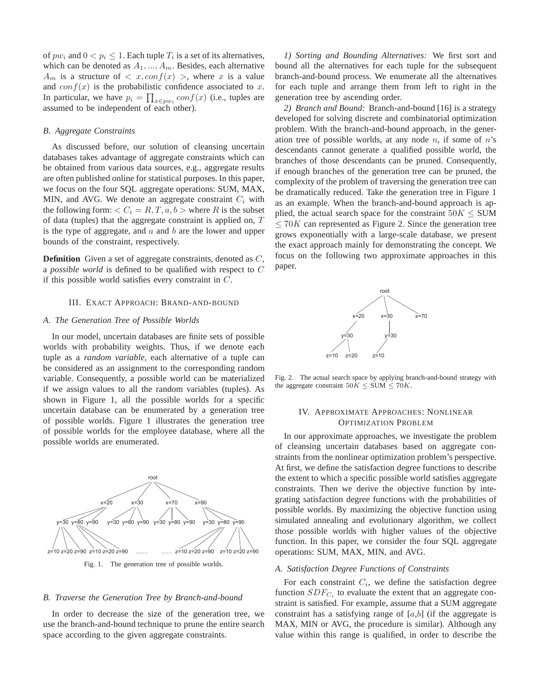of  $pw_i$  and  $0 < p_i \leq 1$ . Each tuple  $T_i$  is a set of its alternatives, which can be denoted as  $A_1, ..., A_m$ . Besides, each alternative  $A_m$  is a structure of  $\langle x, conf(x) \rangle$ , where x is a value and  $conf(x)$  is the probabilistic confidence associated to x. In particular, we have  $p_i = \prod_{x \in pw_i} conf(x)$  (i.e., tuples are assumed to be independent of each other).

# *B. Aggregate Constraints*

As discussed before, our solution of cleansing uncertain databases takes advantage of aggregate constraints which can be obtained from various data sources, e.g., aggregate results are often published online for statistical purposes. In this paper, we focus on the four SQL aggregate operations: SUM, MAX, MIN, and AVG. We denote an aggregate constraint  $C_i$  with the following form:  $\langle C_i = R, T, a, b \rangle$  where R is the subset of data (tuples) that the aggregate constraint is applied on, T is the type of aggregate, and  $a$  and  $b$  are the lower and upper bounds of the constraint, respectively.

**Definition** Given a set of aggregate constraints, denoted as C, a *possible world* is defined to be qualified with respect to C if this possible world satisfies every constraint in C.

#### III. EXACT APPROACH: BRAND-AND-BOUND

#### *A. The Generation Tree of Possible Worlds*

In our model, uncertain databases are finite sets of possible worlds with probability weights. Thus, if we denote each tuple as a *random variable*, each alternative of a tuple can be considered as an assignment to the corresponding random variable. Consequently, a possible world can be materialized if we assign values to all the random variables (tuples). As shown in Figure 1, all the possible worlds for a specific uncertain database can be enumerated by a generation tree of possible worlds. Figure 1 illustrates the generation tree of possible worlds for the employee database, where all the possible worlds are enumerated.



Fig. 1. The generation tree of possible worlds.

#### *B. Traverse the Generation Tree by Branch-and-bound*

In order to decrease the size of the generation tree, we use the branch-and-bound technique to prune the entire search space according to the given aggregate constraints.

*1) Sorting and Bounding Alternatives:* We first sort and bound all the alternatives for each tuple for the subsequent branch-and-bound process. We enumerate all the alternatives for each tuple and arrange them from left to right in the generation tree by ascending order.

*2) Branch and Bound:* Branch-and-bound [16] is a strategy developed for solving discrete and combinatorial optimization problem. With the branch-and-bound approach, in the generation tree of possible worlds, at any node  $n$ , if some of  $n$ 's descendants cannot generate a qualified possible world, the branches of those descendants can be pruned. Consequently, if enough branches of the generation tree can be pruned, the complexity of the problem of traversing the generation tree can be dramatically reduced. Take the generation tree in Figure 1 as an example. When the branch-and-bound approach is applied, the actual search space for the constraint  $50K \leq$  SUM  $\leq$  70K can represented as Figure 2. Since the generation tree grows exponentially with a large-scale database, we present the exact approach mainly for demonstrating the concept. We focus on the following two approximate approaches in this paper.



Fig. 2. The actual search space by applying branch-and-bound strategy with the aggregate constraint  $50K \leq \text{SUM} \leq 70K$ .

# IV. APPROXIMATE APPROACHES: NONLINEAR OPTIMIZATION PROBLEM

In our approximate approaches, we investigate the problem of cleansing uncertain databases based on aggregate constraints from the nonlinear optimization problem's perspective. At first, we define the satisfaction degree functions to describe the extent to which a specific possible world satisfies aggregate constraints. Then we derive the objective function by integrating satisfaction degree functions with the probabilities of possible worlds. By maximizing the objective function using simulated annealing and evolutionary algorithm, we collect those possible worlds with higher values of the objective function. In this paper, we consider the four SQL aggregate operations: SUM, MAX, MIN, and AVG.

#### *A. Satisfaction Degree Functions of Constraints*

For each constraint  $C_i$ , we define the satisfaction degree function  $SDF_{C_i}$  to evaluate the extent that an aggregate constraint is satisfied. For example, assume that a SUM aggregate constraint has a satisfying range of  $[a,b]$  (if the aggregate is MAX, MIN or AVG, the procedure is similar). Although any value within this range is qualified, in order to describe the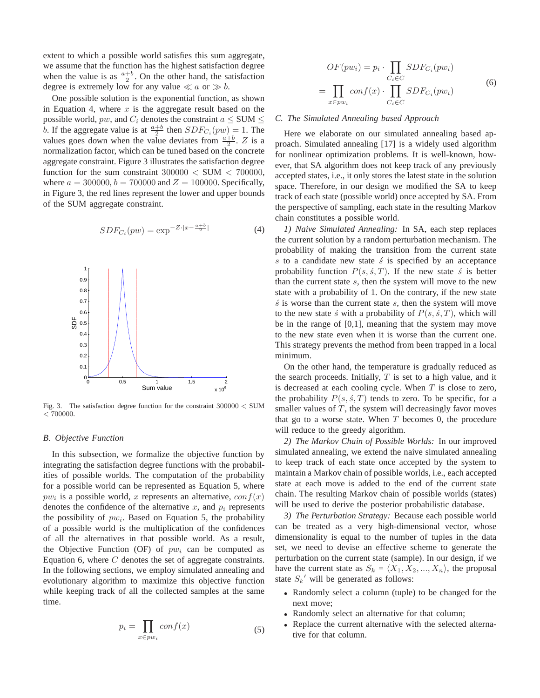extent to which a possible world satisfies this sum aggregate, we assume that the function has the highest satisfaction degree when the value is as  $\frac{a+b}{2}$ . On the other hand, the satisfaction degree is extremely low for any value  $\ll a$  or  $\gg b$ .

One possible solution is the exponential function, as shown in Equation 4, where  $x$  is the aggregate result based on the possible world, pw, and  $C_i$  denotes the constraint  $a \leq \text{SUM} \leq$ b. If the aggregate value is at  $\frac{a+b}{2}$  then  $SDF_{C_i}(pw) = 1$ . The values goes down when the value deviates from  $\frac{a+b}{2}$ . Z is a normalization factor, which can be tuned based on the concrete aggregate constraint. Figure 3 illustrates the satisfaction degree function for the sum constraint  $300000 < SUM < 700000$ , where  $a = 300000$ ,  $b = 700000$  and  $Z = 100000$ . Specifically, in Figure 3, the red lines represent the lower and upper bounds of the SUM aggregate constraint.

$$
SDF_{C_i}(pw) = \exp^{-Z \cdot |x - \frac{a+b}{2}|}
$$
 (4)



Fig. 3. The satisfaction degree function for the constraint 300000 < SUM  $< 700000$ .

### *B. Objective Function*

In this subsection, we formalize the objective function by integrating the satisfaction degree functions with the probabilities of possible worlds. The computation of the probability for a possible world can be represented as Equation 5, where  $pw_i$  is a possible world, x represents an alternative,  $conf(x)$ denotes the confidence of the alternative x, and  $p_i$  represents the possibility of  $pw_i$ . Based on Equation 5, the probability of a possible world is the multiplication of the confidences of all the alternatives in that possible world. As a result, the Objective Function (OF) of  $pw_i$  can be computed as Equation 6, where  $C$  denotes the set of aggregate constraints. In the following sections, we employ simulated annealing and evolutionary algorithm to maximize this objective function while keeping track of all the collected samples at the same time.

$$
p_i = \prod_{x \in pw_i} conf(x) \tag{5}
$$

$$
OF(pw_i) = p_i \cdot \prod_{C_i \in C} SDF_{C_i}(pw_i)
$$

$$
= \prod_{x \in pw_i} conf(x) \cdot \prod_{C_i \in C} SDF_{C_i}(pw_i)
$$
(6)

#### *C. The Simulated Annealing based Approach*

Here we elaborate on our simulated annealing based approach. Simulated annealing [17] is a widely used algorithm for nonlinear optimization problems. It is well-known, however, that SA algorithm does not keep track of any previously accepted states, i.e., it only stores the latest state in the solution space. Therefore, in our design we modified the SA to keep track of each state (possible world) once accepted by SA. From the perspective of sampling, each state in the resulting Markov chain constitutes a possible world.

*1) Naive Simulated Annealing:* In SA, each step replaces the current solution by a random perturbation mechanism. The probability of making the transition from the current state s to a candidate new state  $\acute{s}$  is specified by an acceptance probability function  $P(s, \acute{s}, T)$ . If the new state  $\acute{s}$  is better than the current state  $s$ , then the system will move to the new state with a probability of 1. On the contrary, if the new state  $\acute{s}$  is worse than the current state  $s$ , then the system will move to the new state s with a probability of  $P(s, \dot{s}, T)$ , which will be in the range of [0,1], meaning that the system may move to the new state even when it is worse than the current one. This strategy prevents the method from been trapped in a local minimum.

On the other hand, the temperature is gradually reduced as the search proceeds. Initially,  $T$  is set to a high value, and it is decreased at each cooling cycle. When  $T$  is close to zero, the probability  $P(s, \acute{s}, T)$  tends to zero. To be specific, for a smaller values of  $T$ , the system will decreasingly favor moves that go to a worse state. When  $T$  becomes 0, the procedure will reduce to the greedy algorithm.

*2) The Markov Chain of Possible Worlds:* In our improved simulated annealing, we extend the naive simulated annealing to keep track of each state once accepted by the system to maintain a Markov chain of possible worlds, i.e., each accepted state at each move is added to the end of the current state chain. The resulting Markov chain of possible worlds (states) will be used to derive the posterior probabilistic database.

*3) The Perturbation Strategy:* Because each possible world can be treated as a very high-dimensional vector, whose dimensionality is equal to the number of tuples in the data set, we need to devise an effective scheme to generate the perturbation on the current state (sample). In our design, if we have the current state as  $S_k = \langle X_1, X_2, ..., X_n \rangle$ , the proposal state  $S_k'$  will be generated as follows:

- Randomly select a column (tuple) to be changed for the next move;
- Randomly select an alternative for that column;
- Replace the current alternative with the selected alternative for that column.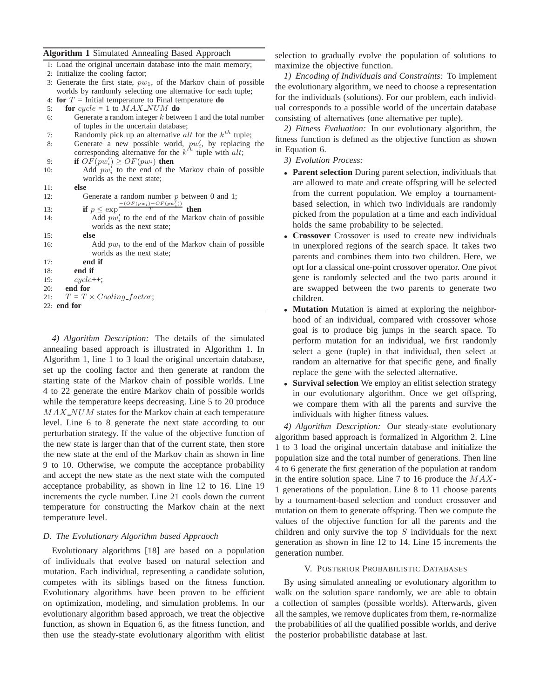|                | <b>Algorithm 1 Simulated Annealing Based Approach</b>                 |  |  |  |  |
|----------------|-----------------------------------------------------------------------|--|--|--|--|
|                | 1: Load the original uncertain database into the main memory;         |  |  |  |  |
|                | 2: Initialize the cooling factor;                                     |  |  |  |  |
|                | 3: Generate the first state, $pw_1$ , of the Markov chain of possible |  |  |  |  |
|                | worlds by randomly selecting one alternative for each tuple;          |  |  |  |  |
|                | 4: for $T =$ Initial temperature to Final temperature do              |  |  |  |  |
| 5:             | for $cycle = 1$ to $MAX$ $NUM$ do                                     |  |  |  |  |
| 6:             | Generate a random integer $k$ between 1 and the total number          |  |  |  |  |
|                | of tuples in the uncertain database;                                  |  |  |  |  |
| 7:             | Randomly pick up an alternative alt for the $k^{th}$ tuple;           |  |  |  |  |
| 8:             | Generate a new possible world, $pw'_i$ , by replacing the             |  |  |  |  |
|                | corresponding alternative for the $k^{th}$ tuple with alt;            |  |  |  |  |
| 9:             | if $OF(pw'_i) \geq OF(pw_i)$ then                                     |  |  |  |  |
| 10:            | Add $pw'_i$ to the end of the Markov chain of possible                |  |  |  |  |
|                | worlds as the next state;                                             |  |  |  |  |
| else<br>11:    |                                                                       |  |  |  |  |
| 12:            | Generate a random number $p$ between 0 and 1;                         |  |  |  |  |
|                | if $p \le \exp \frac{-(OF(pw_i)-OF(pw_i^7))}{T}$ then                 |  |  |  |  |
| 13:            |                                                                       |  |  |  |  |
| 14:            | Add $pw'_i$ to the end of the Markov chain of possible                |  |  |  |  |
|                | worlds as the next state:                                             |  |  |  |  |
| 15:            | else                                                                  |  |  |  |  |
| 16:            | Add $pw_i$ to the end of the Markov chain of possible                 |  |  |  |  |
|                | worlds as the next state;                                             |  |  |  |  |
| 17:            | end if                                                                |  |  |  |  |
| 18:            | end if                                                                |  |  |  |  |
| 19:            | $cycle++$                                                             |  |  |  |  |
| end for<br>20: |                                                                       |  |  |  |  |
| 21:            | $T = T \times Cooling\_factor;$                                       |  |  |  |  |
| $22:$ end for  |                                                                       |  |  |  |  |
|                |                                                                       |  |  |  |  |

*4) Algorithm Description:* The details of the simulated annealing based approach is illustrated in Algorithm 1. In Algorithm 1, line 1 to 3 load the original uncertain database, set up the cooling factor and then generate at random the starting state of the Markov chain of possible worlds. Line 4 to 22 generate the entire Markov chain of possible worlds while the temperature keeps decreasing. Line 5 to 20 produce  $MAX\_NUM$  states for the Markov chain at each temperature level. Line 6 to 8 generate the next state according to our perturbation strategy. If the value of the objective function of the new state is larger than that of the current state, then store the new state at the end of the Markov chain as shown in line 9 to 10. Otherwise, we compute the acceptance probability and accept the new state as the next state with the computed acceptance probability, as shown in line 12 to 16. Line 19 increments the cycle number. Line 21 cools down the current temperature for constructing the Markov chain at the next temperature level.

### *D. The Evolutionary Algorithm based Appraoch*

Evolutionary algorithms [18] are based on a population of individuals that evolve based on natural selection and mutation. Each individual, representing a candidate solution, competes with its siblings based on the fitness function. Evolutionary algorithms have been proven to be efficient on optimization, modeling, and simulation problems. In our evolutionary algorithm based approach, we treat the objective function, as shown in Equation 6, as the fitness function, and then use the steady-state evolutionary algorithm with elitist selection to gradually evolve the population of solutions to maximize the objective function.

*1) Encoding of Individuals and Constraints:* To implement the evolutionary algorithm, we need to choose a representation for the individuals (solutions). For our problem, each individual corresponds to a possible world of the uncertain database consisting of alternatives (one alternative per tuple).

*2) Fitness Evaluation:* In our evolutionary algorithm, the fitness function is defined as the objective function as shown in Equation 6.

*3) Evolution Process:*

- **Parent selection** During parent selection, individuals that are allowed to mate and create offspring will be selected from the current population. We employ a tournamentbased selection, in which two individuals are randomly picked from the population at a time and each individual holds the same probability to be selected.
- **Crossover** Crossover is used to create new individuals in unexplored regions of the search space. It takes two parents and combines them into two children. Here, we opt for a classical one-point crossover operator. One pivot gene is randomly selected and the two parts around it are swapped between the two parents to generate two children.
- **Mutation** Mutation is aimed at exploring the neighborhood of an individual, compared with crossover whose goal is to produce big jumps in the search space. To perform mutation for an individual, we first randomly select a gene (tuple) in that individual, then select at random an alternative for that specific gene, and finally replace the gene with the selected alternative.
- **Survival selection** We employ an elitist selection strategy in our evolutionary algorithm. Once we get offspring, we compare them with all the parents and survive the individuals with higher fitness values.

*4) Algorithm Description:* Our steady-state evolutionary algorithm based approach is formalized in Algorithm 2. Line 1 to 3 load the original uncertain database and initialize the population size and the total number of generations. Then line 4 to 6 generate the first generation of the population at random in the entire solution space. Line 7 to 16 produce the  $MAX$ -1 generations of the population. Line 8 to 11 choose parents by a tournament-based selection and conduct crossover and mutation on them to generate offspring. Then we compute the values of the objective function for all the parents and the children and only survive the top  $S$  individuals for the next generation as shown in line 12 to 14. Line 15 increments the generation number.

### V. POSTERIOR PROBABILISTIC DATABASES

By using simulated annealing or evolutionary algorithm to walk on the solution space randomly, we are able to obtain a collection of samples (possible worlds). Afterwards, given all the samples, we remove duplicates from them, re-normalize the probabilities of all the qualified possible worlds, and derive the posterior probabilistic database at last.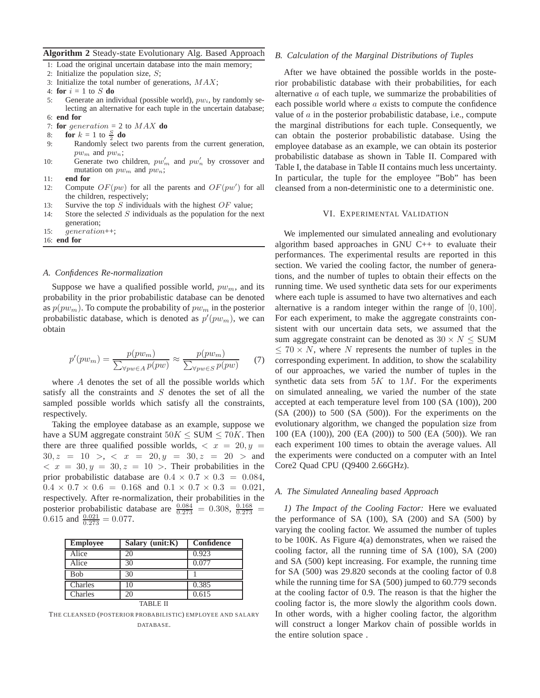#### **Algorithm 2** Steady-state Evolutionary Alg. Based Approach

- 1: Load the original uncertain database into the main memory;
- 2: Initialize the population size,  $S$ ;
- 3: Initialize the total number of generations,  $MAX$ ;
- 4: **for**  $i = 1$  to  $S$  **do**
- 5: Generate an individual (possible world),  $pw_i$ , by randomly selecting an alternative for each tuple in the uncertain database; 6: **end for**
- 7: **for** generation = 2 to  $MAX$  **do**
- 8: **for**  $k = 1$  to  $\frac{S}{2}$  **do**
- 9: Randomly select two parents from the current generation,  $pw_m$  and  $pw_n$ ;
- 10: Generate two children,  $pw'_m$  and  $pw'_n$  by crossover and mutation on  $pw_m$  and  $pw_n$ ;
- 11: **end for**
- 12: Compute  $OF(pw)$  for all the parents and  $OF(pw')$  for all the children, respectively;
- 13: Survive the top  $S$  individuals with the highest  $OF$  value;
- 14: Store the selected S individuals as the population for the next generation;
- 15: generation++;
- 16: **end for**

#### *A. Confidences Re-normalization*

Suppose we have a qualified possible world,  $pw_m$ , and its probability in the prior probabilistic database can be denoted as  $p(pw_m)$ . To compute the probability of  $pw_m$  in the posterior probabilistic database, which is denoted as  $p'(pw_m)$ , we can obtain

$$
p'(pw_m) = \frac{p(pw_m)}{\sum_{\forall pw \in A} p(pw)} \approx \frac{p(pw_m)}{\sum_{\forall pw \in S} p(pw)} \tag{7}
$$

where A denotes the set of all the possible worlds which satisfy all the constraints and  $S$  denotes the set of all the sampled possible worlds which satisfy all the constraints, respectively.

Taking the employee database as an example, suppose we have a SUM aggregate constraint  $50K \leq$  SUM  $\leq 70K$ . Then there are three qualified possible worlds,  $\langle x \rangle = 20, y = 1$  $30, z = 10$  >, <  $x = 20, y = 30, z = 20$  > and  $\langle x \rangle = 30, y = 30, z = 10$ . Their probabilities in the prior probabilistic database are  $0.4 \times 0.7 \times 0.3 = 0.084$ ,  $0.4 \times 0.7 \times 0.6 = 0.168$  and  $0.1 \times 0.7 \times 0.3 = 0.021$ , respectively. After re-normalization, their probabilities in the posterior probabilistic database are  $\frac{0.084}{0.273} = 0.308$ ,  $\frac{0.168}{0.273}$  = 0.615 and  $\frac{0.021}{0.273} = 0.077$ .

| <b>Employee</b> | Salary (unit:K) | Confidence |
|-----------------|-----------------|------------|
| Alice           | 20              | 0.923      |
| Alice           | 30              | 0.077      |
| Bob             | 30              |            |
| Charles         | 10              | 0.385      |
| Charles         | 20              | 0.615      |

TABLE II

THE CLEANSED (POSTERIOR PROBABILISTIC) EMPLOYEE AND SALARY DATABASE.

#### *B. Calculation of the Marginal Distributions of Tuples*

After we have obtained the possible worlds in the posterior probabilistic database with their probabilities, for each alternative a of each tuple, we summarize the probabilities of each possible world where  $a$  exists to compute the confidence value of  $a$  in the posterior probabilistic database, i.e., compute the marginal distributions for each tuple. Consequently, we can obtain the posterior probabilistic database. Using the employee database as an example, we can obtain its posterior probabilistic database as shown in Table II. Compared with Table I, the database in Table II contains much less uncertainty. In particular, the tuple for the employee "Bob" has been cleansed from a non-deterministic one to a deterministic one.

### VI. EXPERIMENTAL VALIDATION

We implemented our simulated annealing and evolutionary algorithm based approaches in GNU  $C++$  to evaluate their performances. The experimental results are reported in this section. We varied the cooling factor, the number of generations, and the number of tuples to obtain their effects on the running time. We used synthetic data sets for our experiments where each tuple is assumed to have two alternatives and each alternative is a random integer within the range of  $[0, 100]$ . For each experiment, to make the aggregate constraints consistent with our uncertain data sets, we assumed that the sum aggregate constraint can be denoted as  $30 \times N \leq$  SUM  $\leq 70 \times N$ , where N represents the number of tuples in the corresponding experiment. In addition, to show the scalability of our approaches, we varied the number of tuples in the synthetic data sets from  $5K$  to  $1M$ . For the experiments on simulated annealing, we varied the number of the state accepted at each temperature level from 100 (SA (100)), 200  $(SA (200))$  to 500  $(SA (500))$ . For the experiments on the evolutionary algorithm, we changed the population size from 100 (EA (100)), 200 (EA (200)) to 500 (EA (500)). We ran each experiment 100 times to obtain the average values. All the experiments were conducted on a computer with an Intel Core2 Quad CPU (Q9400 2.66GHz).

### *A. The Simulated Annealing based Approach*

*1) The Impact of the Cooling Factor:* Here we evaluated the performance of SA  $(100)$ , SA  $(200)$  and SA  $(500)$  by varying the cooling factor. We assumed the number of tuples to be 100K. As Figure 4(a) demonstrates, when we raised the cooling factor, all the running time of SA (100), SA (200) and SA (500) kept increasing. For example, the running time for SA (500) was 29.820 seconds at the cooling factor of 0.8 while the running time for SA (500) jumped to 60.779 seconds at the cooling factor of 0.9. The reason is that the higher the cooling factor is, the more slowly the algorithm cools down. In other words, with a higher cooling factor, the algorithm will construct a longer Markov chain of possible worlds in the entire solution space .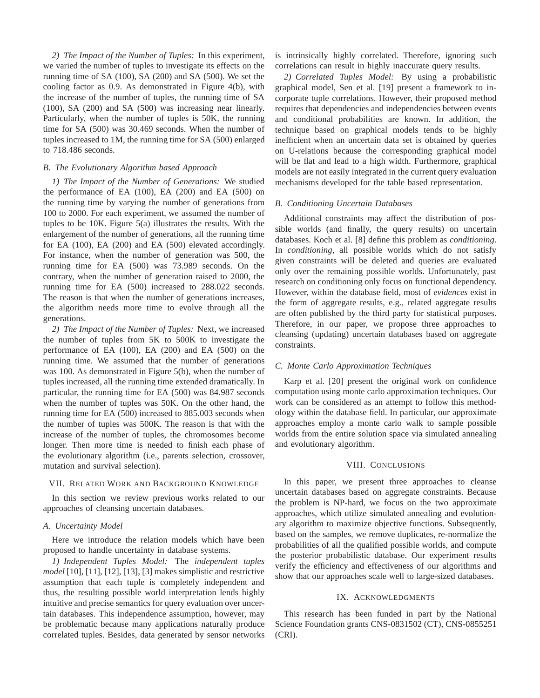*2) The Impact of the Number of Tuples:* In this experiment, we varied the number of tuples to investigate its effects on the running time of SA (100), SA (200) and SA (500). We set the cooling factor as 0.9. As demonstrated in Figure 4(b), with the increase of the number of tuples, the running time of SA (100), SA (200) and SA (500) was increasing near linearly. Particularly, when the number of tuples is 50K, the running time for SA (500) was 30.469 seconds. When the number of tuples increased to 1M, the running time for SA (500) enlarged to 718.486 seconds.

# *B. The Evolutionary Algorithm based Approach*

*1) The Impact of the Number of Generations:* We studied the performance of EA (100), EA (200) and EA (500) on the running time by varying the number of generations from 100 to 2000. For each experiment, we assumed the number of tuples to be 10K. Figure 5(a) illustrates the results. With the enlargement of the number of generations, all the running time for EA (100), EA (200) and EA (500) elevated accordingly. For instance, when the number of generation was 500, the running time for EA (500) was 73.989 seconds. On the contrary, when the number of generation raised to 2000, the running time for EA (500) increased to 288.022 seconds. The reason is that when the number of generations increases, the algorithm needs more time to evolve through all the generations.

*2) The Impact of the Number of Tuples:* Next, we increased the number of tuples from 5K to 500K to investigate the performance of EA (100), EA (200) and EA (500) on the running time. We assumed that the number of generations was 100. As demonstrated in Figure 5(b), when the number of tuples increased, all the running time extended dramatically. In particular, the running time for EA (500) was 84.987 seconds when the number of tuples was 50K. On the other hand, the running time for EA (500) increased to 885.003 seconds when the number of tuples was 500K. The reason is that with the increase of the number of tuples, the chromosomes become longer. Then more time is needed to finish each phase of the evolutionary algorithm (i.e., parents selection, crossover, mutation and survival selection).

# VII. RELATED WORK AND BACKGROUND KNOWLEDGE

In this section we review previous works related to our approaches of cleansing uncertain databases.

# *A. Uncertainty Model*

Here we introduce the relation models which have been proposed to handle uncertainty in database systems.

*1) Independent Tuples Model:* The *independent tuples model* [10], [11], [12], [13], [3] makes simplistic and restrictive assumption that each tuple is completely independent and thus, the resulting possible world interpretation lends highly intuitive and precise semantics for query evaluation over uncertain databases. This independence assumption, however, may be problematic because many applications naturally produce correlated tuples. Besides, data generated by sensor networks is intrinsically highly correlated. Therefore, ignoring such correlations can result in highly inaccurate query results.

*2) Correlated Tuples Model:* By using a probabilistic graphical model, Sen et al. [19] present a framework to incorporate tuple correlations. However, their proposed method requires that dependencies and independencies between events and conditional probabilities are known. In addition, the technique based on graphical models tends to be highly inefficient when an uncertain data set is obtained by queries on U-relations because the corresponding graphical model will be flat and lead to a high width. Furthermore, graphical models are not easily integrated in the current query evaluation mechanisms developed for the table based representation.

# *B. Conditioning Uncertain Databases*

Additional constraints may affect the distribution of possible worlds (and finally, the query results) on uncertain databases. Koch et al. [8] define this problem as *conditioning*. In *conditioning*, all possible worlds which do not satisfy given constraints will be deleted and queries are evaluated only over the remaining possible worlds. Unfortunately, past research on conditioning only focus on functional dependency. However, within the database field, most of *evidences* exist in the form of aggregate results, e.g., related aggregate results are often published by the third party for statistical purposes. Therefore, in our paper, we propose three approaches to cleansing (updating) uncertain databases based on aggregate constraints.

# *C. Monte Carlo Approximation Techniques*

Karp et al. [20] present the original work on confidence computation using monte carlo approximation techniques. Our work can be considered as an attempt to follow this methodology within the database field. In particular, our approximate approaches employ a monte carlo walk to sample possible worlds from the entire solution space via simulated annealing and evolutionary algorithm.

#### VIII. CONCLUSIONS

In this paper, we present three approaches to cleanse uncertain databases based on aggregate constraints. Because the problem is NP-hard, we focus on the two approximate approaches, which utilize simulated annealing and evolutionary algorithm to maximize objective functions. Subsequently, based on the samples, we remove duplicates, re-normalize the probabilities of all the qualified possible worlds, and compute the posterior probabilistic database. Our experiment results verify the efficiency and effectiveness of our algorithms and show that our approaches scale well to large-sized databases.

#### IX. ACKNOWLEDGMENTS

This research has been funded in part by the National Science Foundation grants CNS-0831502 (CT), CNS-0855251 (CRI).